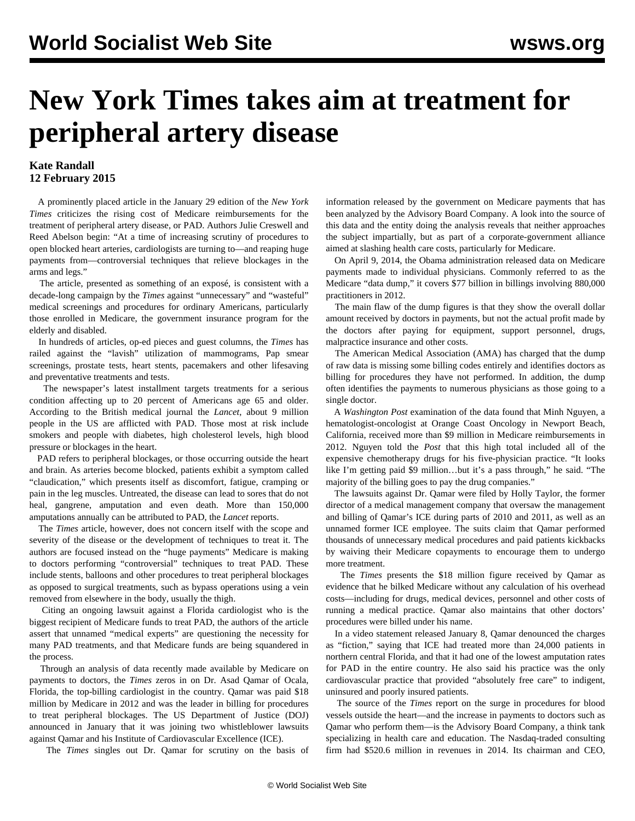## **New York Times takes aim at treatment for peripheral artery disease**

## **Kate Randall 12 February 2015**

 A prominently placed article in the January 29 edition of the *New York Times* criticizes the rising cost of Medicare reimbursements for the treatment of peripheral artery disease, or PAD. Authors Julie Creswell and Reed Abelson begin: "At a time of increasing scrutiny of procedures to open blocked heart arteries, cardiologists are turning to—and reaping huge payments from—controversial techniques that relieve blockages in the arms and legs."

 The article, presented as something of an exposé, is consistent with a decade-long campaign by the *Times* against "unnecessary" and "wasteful" medical screenings and procedures for ordinary Americans, particularly those enrolled in Medicare, the government insurance program for the elderly and disabled.

 In hundreds of articles, op-ed pieces and guest columns, the *Times* has railed against the "lavish" utilization of mammograms, Pap smear screenings, prostate tests, heart stents, pacemakers and other lifesaving and preventative treatments and tests.

 The newspaper's latest installment targets treatments for a serious condition affecting up to 20 percent of Americans age 65 and older. According to the British medical journal the *Lancet*, about 9 million people in the US are afflicted with PAD. Those most at risk include smokers and people with diabetes, high cholesterol levels, high blood pressure or blockages in the heart.

 PAD refers to peripheral blockages, or those occurring outside the heart and brain. As arteries become blocked, patients exhibit a symptom called "claudication," which presents itself as discomfort, fatigue, cramping or pain in the leg muscles. Untreated, the disease can lead to sores that do not heal, gangrene, amputation and even death. More than 150,000 amputations annually can be attributed to PAD, the *Lancet* reports.

 The *Times* article, however, does not concern itself with the scope and severity of the disease or the development of techniques to treat it. The authors are focused instead on the "huge payments" Medicare is making to doctors performing "controversial" techniques to treat PAD. These include stents, balloons and other procedures to treat peripheral blockages as opposed to surgical treatments, such as bypass operations using a vein removed from elsewhere in the body, usually the thigh.

 Citing an ongoing lawsuit against a Florida cardiologist who is the biggest recipient of Medicare funds to treat PAD, the authors of the article assert that unnamed "medical experts" are questioning the necessity for many PAD treatments, and that Medicare funds are being squandered in the process.

 Through an analysis of data recently made available by Medicare on payments to doctors, the *Times* zeros in on Dr. Asad Qamar of Ocala, Florida, the top-billing cardiologist in the country. Qamar was paid \$18 million by Medicare in 2012 and was the leader in billing for procedures to treat peripheral blockages. The US Department of Justice (DOJ) announced in January that it was joining two whistleblower lawsuits against Qamar and his Institute of Cardiovascular Excellence (ICE).

The *Times* singles out Dr. Qamar for scrutiny on the basis of

information released by the government on Medicare payments that has been analyzed by the Advisory Board Company. A look into the source of this data and the entity doing the analysis reveals that neither approaches the subject impartially, but as part of a corporate-government alliance aimed at slashing health care costs, particularly for Medicare.

 On April 9, 2014, the Obama administration released data on Medicare payments made to individual physicians. Commonly referred to as the Medicare "data dump," it covers \$77 billion in billings involving 880,000 practitioners in 2012.

 The main flaw of the dump figures is that they show the overall dollar amount received by doctors in payments, but not the actual profit made by the doctors after paying for equipment, support personnel, drugs, malpractice insurance and other costs.

 The American Medical Association (AMA) has charged that the dump of raw data is missing some billing codes entirely and identifies doctors as billing for procedures they have not performed. In addition, the dump often identifies the payments to numerous physicians as those going to a single doctor.

 A *Washington Post* examination of the data found that Minh Nguyen, a hematologist-oncologist at Orange Coast Oncology in Newport Beach, California, received more than \$9 million in Medicare reimbursements in 2012. Nguyen told the *Post* that this high total included all of the expensive chemotherapy drugs for his five-physician practice. "It looks like I'm getting paid \$9 million…but it's a pass through," he said. "The majority of the billing goes to pay the drug companies."

 The lawsuits against Dr. Qamar were filed by Holly Taylor, the former director of a medical management company that oversaw the management and billing of Qamar's ICE during parts of 2010 and 2011, as well as an unnamed former ICE employee. The suits claim that Qamar performed thousands of unnecessary medical procedures and paid patients kickbacks by waiving their Medicare copayments to encourage them to undergo more treatment.

 The *Times* presents the \$18 million figure received by Qamar as evidence that he bilked Medicare without any calculation of his overhead costs—including for drugs, medical devices, personnel and other costs of running a medical practice. Qamar also maintains that other doctors' procedures were billed under his name.

 In a video statement released January 8, Qamar denounced the charges as "fiction," saying that ICE had treated more than 24,000 patients in northern central Florida, and that it had one of the lowest amputation rates for PAD in the entire country. He also said his practice was the only cardiovascular practice that provided "absolutely free care" to indigent, uninsured and poorly insured patients.

 The source of the *Times* report on the surge in procedures for blood vessels outside the heart—and the increase in payments to doctors such as Qamar who perform them—is the Advisory Board Company, a think tank specializing in health care and education. The Nasdaq-traded consulting firm had \$520.6 million in revenues in 2014. Its chairman and CEO,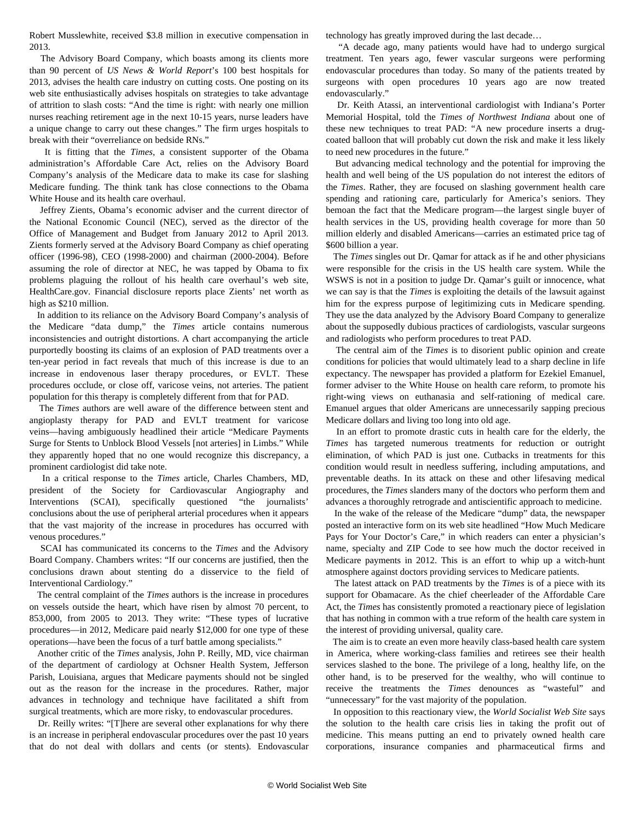Robert Musslewhite, received \$3.8 million in executive compensation in 2013.

 The Advisory Board Company, which boasts among its clients more than 90 percent of *US News & World Report*'s 100 best hospitals for 2013, advises the health care industry on cutting costs. One posting on its web site enthusiastically advises hospitals on strategies to take advantage of attrition to slash costs: "And the time is right: with nearly one million nurses reaching retirement age in the next 10-15 years, nurse leaders have a unique change to carry out these changes." The firm urges hospitals to break with their "overreliance on bedside RNs."

 It is fitting that the *Times*, a consistent supporter of the Obama administration's Affordable Care Act, relies on the Advisory Board Company's analysis of the Medicare data to make its case for slashing Medicare funding. The think tank has close connections to the Obama White House and its health care overhaul.

 Jeffrey Zients, Obama's economic adviser and the current director of the National Economic Council (NEC), served as the director of the Office of Management and Budget from January 2012 to April 2013. Zients formerly served at the Advisory Board Company as chief operating officer (1996-98), CEO (1998-2000) and chairman (2000-2004). Before assuming the role of director at NEC, he was tapped by Obama to fix problems plaguing the rollout of his health care overhaul's web site, HealthCare.gov. Financial disclosure reports place Zients' net worth as high as \$210 million.

 In addition to its reliance on the Advisory Board Company's analysis of the Medicare "data dump," the *Times* article contains numerous inconsistencies and outright distortions. A [chart](http://www.nytimes.com/2015/01/30/business/medicare-payments-surge-for-stents-to-) accompanying the article purportedly boosting its claims of an explosion of PAD treatments over a ten-year period in fact reveals that much of this increase is due to an increase in endovenous laser therapy procedures, or EVLT. These procedures occlude, or close off, varicose veins, not arteries. The patient population for this therapy is completely different from that for PAD.

 The *Times* authors are well aware of the difference between stent and angioplasty therapy for PAD and EVLT treatment for varicose veins—having ambiguously headlined their article "Medicare Payments Surge for Stents to Unblock Blood Vessels [not arteries] in Limbs." While they apparently hoped that no one would recognize this discrepancy, a prominent cardiologist did take note.

 In a critical response to the *Times* article, Charles Chambers, MD, president of the Society for Cardiovascular Angiography and Interventions (SCAI), specifically questioned "the journalists' conclusions about the use of peripheral arterial procedures when it appears that the vast majority of the increase in procedures has occurred with venous procedures."

 SCAI has communicated its concerns to the *Times* and the Advisory Board Company. Chambers [writes:](http://www.scai.org/Presidents.aspx?cid=8bdc876b-9b93-4cab-9f53-b08970b7391a%22%20%5Cl%20%22.VNfO1UL4_No) "If our concerns are justified, then the conclusions drawn about stenting do a disservice to the field of Interventional Cardiology."

 The central complaint of the *Times* authors is the increase in procedures on vessels outside the heart, which have risen by almost 70 percent, to 853,000, from 2005 to 2013. They write: "These types of lucrative procedures—in 2012, Medicare paid nearly \$12,000 for one type of these operations—have been the focus of a turf battle among specialists."

 Another critic of the *Times* analysis, John P. Reilly, MD, vice chairman of the department of cardiology at Ochsner Health System, Jefferson Parish, Louisiana, argues that Medicare payments should not be singled out as the reason for the increase in the procedures. Rather, major advances in technology and technique have facilitated a shift from surgical treatments, which are more risky, to endovascular procedures.

 Dr. Reilly writes: "[T]here are several other explanations for why there is an increase in peripheral endovascular procedures over the past 10 years that do not deal with dollars and cents (or stents). Endovascular technology has greatly improved during the last decade…

 "A decade ago, many patients would have had to undergo surgical treatment. Ten years ago, fewer vascular surgeons were performing endovascular procedures than today. So many of the patients treated by surgeons with open procedures 10 years ago are now treated endovascularly."

 Dr. Keith Atassi, an interventional cardiologist with Indiana's Porter Memorial Hospital, told the *Times of Northwest Indiana* about one of these new techniques to treat PAD: "A new procedure inserts a drugcoated balloon that will probably cut down the risk and make it less likely to need new procedures in the future."

 But advancing medical technology and the potential for improving the health and well being of the US population do not interest the editors of the *Times*. Rather, they are focused on slashing government health care spending and rationing care, particularly for America's seniors. They bemoan the fact that the Medicare program—the largest single buyer of health services in the US, providing health coverage for more than 50 million elderly and disabled Americans—carries an estimated price tag of \$600 billion a year.

 The *Times* singles out Dr. Qamar for attack as if he and other physicians were responsible for the crisis in the US health care system. While the WSWS is not in a position to judge Dr. Qamar's guilt or innocence, what we can say is that the *Times* is exploiting the details of the lawsuit against him for the express purpose of legitimizing cuts in Medicare spending. They use the data analyzed by the Advisory Board Company to generalize about the supposedly dubious practices of cardiologists, vascular surgeons and radiologists who perform procedures to treat PAD.

 The central aim of the *Times* is to disorient public opinion and create conditions for policies that would ultimately lead to a sharp decline in life expectancy. The newspaper has provided a platform for [Ezekiel Emanuel](/en/articles/2015/01/13/eman-j01.html), former adviser to the White House on health care reform, to promote his right-wing views on euthanasia and self-rationing of medical care. Emanuel argues that older Americans are unnecessarily sapping precious Medicare dollars and living too long into old age.

 In an effort to promote drastic cuts in health care for the elderly, the *Times* has targeted numerous treatments for reduction or outright elimination, of which PAD is just one. Cutbacks in treatments for this condition would result in needless suffering, including amputations, and preventable deaths. In its attack on these and other lifesaving medical procedures, the *Times* slanders many of the doctors who perform them and advances a thoroughly retrograde and antiscientific approach to medicine.

 In the wake of the release of the Medicare "dump" data, the newspaper posted an interactive form on its web site headlined "How Much Medicare Pays for Your Doctor's Care," in which readers can enter a physician's name, specialty and ZIP Code to see how much the doctor received in Medicare payments in 2012. This is an effort to whip up a witch-hunt atmosphere against doctors providing services to Medicare patients.

 The latest attack on PAD treatments by the *Times* is of a piece with its support for Obamacare. As the chief cheerleader of the Affordable Care Act, the *Times* has consistently promoted a reactionary piece of legislation that has nothing in common with a true reform of the health care system in the interest of providing universal, quality care.

 The aim is to create an even more heavily class-based health care system in America, where working-class families and retirees see their health services slashed to the bone. The privilege of a long, healthy life, on the other hand, is to be preserved for the wealthy, who will continue to receive the treatments the *Times* denounces as "wasteful" and "unnecessary" for the vast majority of the population.

 In opposition to this reactionary view, the *World Socialist Web Site* says the solution to the health care crisis lies in taking the profit out of medicine. This means putting an end to privately owned health care corporations, insurance companies and pharmaceutical firms and